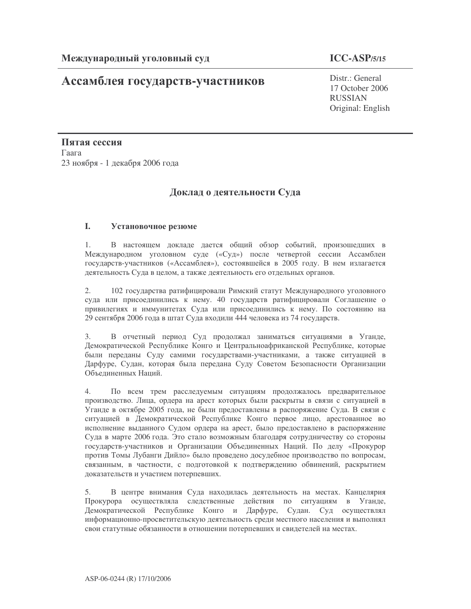# Ассамблея государств-участников

## $ICC-ASP/5/15$

 $Distr \cdot General$ 17 October 2006 **RUSSIAN** Original: English

Пятая сессия Гаага 23 ноября - 1 декабря 2006 года

## Доклад о деятельности Суда

#### L Установочное резюме

 $1$ В настоящем докладе дается общий обзор событий, произошедших в Международном уголовном суде («Суд») после четвертой сессии Ассамблеи государств-участников («Ассамблея»), состоявшейся в 2005 году. В нем излагается деятельность Суда в целом, а также деятельность его отдельных органов.

 $\overline{2}$ . 102 государства ратифицировали Римский статут Международного уголовного суда или присоединились к нему. 40 государств ратифицировали Соглашение о привилегиях и иммунитетах Суда или присоединились к нему. По состоянию на 29 сентября 2006 года в штат Суда входили 444 человека из 74 государств.

3. В отчетный период Суд продолжал заниматься ситуациями в Уганде, Демократической Республике Конго и Центральноафриканской Республике, которые были переданы Суду самими государствами-участниками, а также ситуацией в Дарфуре, Судан, которая была передана Суду Советом Безопасности Организации Объединенных Наций.

 $4_{\cdot}$ По всем трем расследуемым ситуациям продолжалось предварительное производство. Лица, ордера на арест которых были раскрыты в связи с ситуацией в Уганде в октябре 2005 года, не были предоставлены в распоряжение Суда. В связи с ситуацией в Демократической Республике Конго первое лицо, арестованное во исполнение выданного Судом ордера на арест, было предоставлено в распоряжение Суда в марте 2006 года. Это стало возможным благодаря сотрудничеству со стороны государств-участников и Организации Объединенных Наций. По делу «Прокурор против Томы Лубанги Дийло» было проведено досудебное производство по вопросам, связанным, в частности, с подготовкой к подтверждению обвинений, раскрытием доказательств и участием потерпевших.

В центре внимания Суда находилась деятельность на местах. Канцелярия 5. Прокурора осуществляла следственные действия по ситуациям в Уганде, Демократической Республике Конго и Дарфуре, Судан. Суд осуществлял информационно-просветительскую деятельность среди местного населения и выполнял свои статутные обязанности в отношении потерпевших и свидетелей на местах.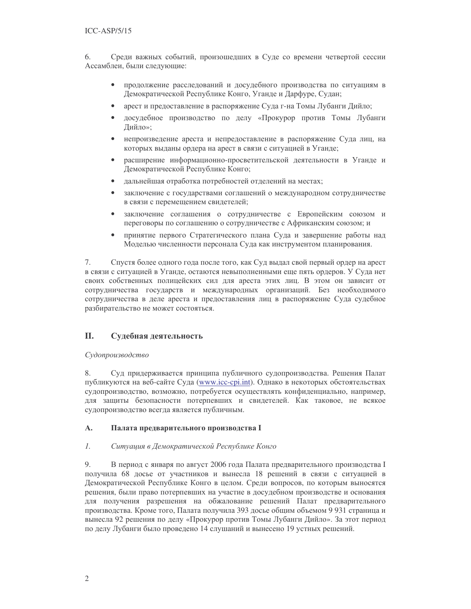6. Среди важных событий, произошедших в Суде со времени четвертой сессии Ассамблеи, были следующие:

- продолжение расследований и досудебного производства по ситуациям в  $\bullet$ Демократической Республике Конго, Уганде и Дарфуре, Судан;
- арест и предоставление в распоряжение Суда г-на Томы Лубанги Дийло;
- $\bullet$ досудебное производство по делу «Прокурор против Томы Лубанги Дийло»;
- $\bullet$ непроизведение ареста и непредоставление в распоряжение Суда лиц, на которых выданы ордера на арест в связи с ситуацией в Уганде;
- расширение информационно-просветительской деятельности в Уганде и  $\bullet$ Демократической Республике Конго;
- дальнейшая отработка потребностей отделений на местах;
- заключение с государствами соглашений о международном сотрудничестве  $\bullet$ в связи с перемещением свидетелей;
- $\bullet$ заключение соглашения о сотрудничестве с Европейским союзом и переговоры по соглашению о сотрудничестве с Африканским союзом; и
- принятие первого Стратегического плана Суда и завершение работы над  $\bullet$ Моделью численности персонала Суда как инструментом планирования.

Спустя более одного года после того, как Суд выдал свой первый ордер на арест 7. в связи с ситуацией в Уганде, остаются невыполненными еще пять ордеров. У Суда нет своих собственных полицейских сил для ареста этих лиц. В этом он зависит от сотрудничества государств и международных организаций. Без необходимого сотрудничества в деле ареста и предоставления лиц в распоряжение Суда судебное разбирательство не может состояться.

#### **II.** Судебная деятельность

## Судопроизводство

8. Суд придерживается принципа публичного судопроизводства. Решения Палат публикуются на веб-сайте Суда (www.icc-cpi.int). Однако в некоторых обстоятельствах судопроизводство, возможно, потребуется осуществлять конфиденциально, например, для защиты безопасности потерпевших и свидетелей. Как таковое, не всякое судопроизводство всегда является публичным.

#### A. Палата предварительного производства I

#### $l.$ Ситуация в Демократической Республике Конго

9. В период с января по август 2006 года Палата предварительного производства I получила 68 досье от участников и вынесла 18 решений в связи с ситуацией в Демократической Республике Конго в целом. Среди вопросов, по которым выносятся решения, были право потерпевших на участие в досудебном производстве и основания для получения разрешения на обжалование решений Палат предварительного производства. Кроме того, Палата получила 393 досье общим объемом 9 931 страница и вынесла 92 решения по делу «Прокурор против Томы Лубанги Дийло». За этот период по делу Лубанги было проведено 14 слушаний и вынесено 19 устных решений.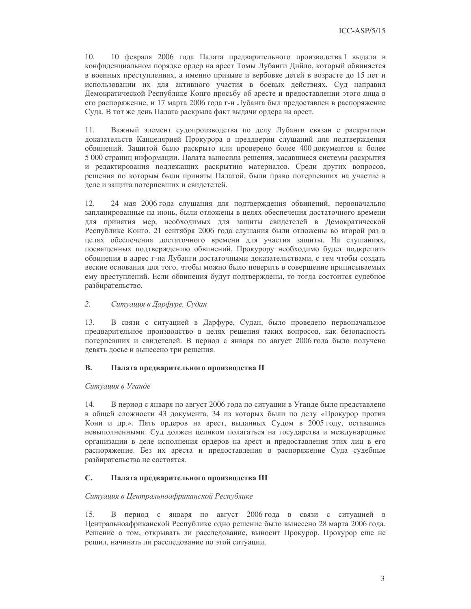$10<sub>1</sub>$ 10 февраля 2006 года Палата предварительного производства I выдала в конфиденциальном порядке ордер на арест Томы Лубанги Дийло, который обвиняется в военных преступлениях, а именно призыве и вербовке детей в возрасте до 15 лет и использовании их для активного участия в боевых действиях. Суд направил Демократической Республике Конго просьбу об аресте и предоставлении этого лица в его распоряжение, и 17 марта 2006 года г-н Лубанга был предоставлен в распоряжение Суда. В тот же день Палата раскрыла факт выдачи ордера на арест.

11. Важный элемент судопроизводства по делу Лубанги связан с раскрытием доказательств Канцелярией Прокурора в преддверии слушаний для подтверждения обвинений. Защитой было раскрыто или проверено более 400 документов и более 5 000 страниц информации. Палата выносила решения, касавшиеся системы раскрытия и редактирования подлежащих раскрытию материалов. Среди других вопросов, решения по которым были приняты Палатой, были право потерпевших на участие в деле и защита потерпевших и свидетелей.

12. 24 мая 2006 года слушания для подтверждения обвинений, первоначально запланированные на июнь, были отложены в целях обеспечения достаточного времени для принятия мер, необходимых для защиты свидетелей в Демократической Республике Конго. 21 сентября 2006 года слушания были отложены во второй раз в целях обеспечения достаточного времени для участия защиты. На слушаниях, посвященных подтверждению обвинений, Прокурору необходимо будет подкрепить обвинения в адрес г-на Лубанги достаточными доказательствами, с тем чтобы создать веские основания для того, чтобы можно было поверить в совершение приписываемых ему преступлений. Если обвинения будут подтверждены, то тогда состоится судебное разбирательство.

#### $2.$ Ситуация в Дарфуре, Судан

13. В связи с ситуацией в Дарфуре, Судан, было проведено первоначальное предварительное производство в целях решения таких вопросов, как безопасность потерпевших и свидетелей. В период с января по август 2006 года было получено девять досье и вынесено три решения.

#### **B.** Палата предварительного производства II

### Ситуация в Уганде

14. В период с января по август 2006 года по ситуации в Уганде было представлено в общей сложности 43 документа, 34 из которых были по делу «Прокурор против Кони и др.». Пять ордеров на арест, выданных Судом в 2005 году, оставались невыполненными. Суд должен целиком полагаться на государства и международные организации в деле исполнения ордеров на арест и предоставления этих лиц в его распоряжение. Без их ареста и предоставления в распоряжение Суда судебные разбирательства не состоятся.

#### $\mathbf{C}$ . Палата предварительного производства III

### Ситуация в Центральноафриканской Республике

В период с января по август 2006 года в связи с ситуацией в  $15.$ Центральноафриканской Республике одно решение было вынесено 28 марта 2006 года. Решение о том, открывать ли расследование, выносит Прокурор. Прокурор еще не решил, начинать ли расследование по этой ситуации.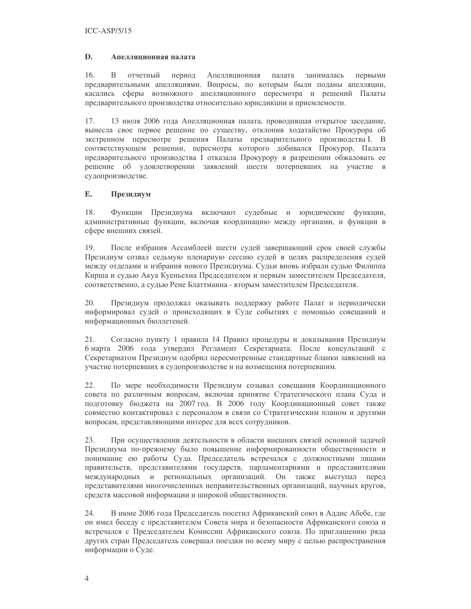#### D. Апелляционная палата

 $16.$  $\overline{B}$ отчетный период Апелляционная палата занималась первыми предварительными апелляциями. Вопросы, по которым были поданы апелляции, касались сферы возможного апелляционного пересмотра и решений Палаты предварительного производства относительно юрисдикции и приемлемости.

17. 13 июля 2006 года Апелляционная палата, проводившая открытое заседание, вынесла свое первое решение по существу, отклонив ходатайство Прокурора об экстренном пересмотре решения Палаты предварительного производства I. В соответствующем решении, пересмотра которого добивался Прокурор, Палата предварительного производства I отказала Прокурору в разрешении обжаловать ее решение об удовлетворении заявлений шести потерпевших на участие в судопроизводстве.

#### E. Президиум

18. Функции Президиума включают судебные и юридические функции, административные функции, включая координацию между органами, и функции в сфере внешних связей.

19 После избрания Ассамблеей шести судей завершающий срок своей службы Президиум созвал седьмую пленарную сессию судей в целях распределения судей между отделами и избрания нового Президиума. Судьи вновь избрали судью Филиппа Кирша и судью Акуа Куеньехиа Председателем и первым заместителем Председателя, соответственно, а судью Рене Блаттманна - вторым заместителем Председателя.

20. Президиум продолжал оказывать поддержку работе Палат и периодически информировал судей о происходящих в Суде событиях с помощью совещаний и информационных бюллетеней.

21. Согласно пункту 1 правила 14 Правил процедуры и доказывания Президиум 6 марта 2006 года утвердил Регламент Секретариата. После консультаций с Секретариатом Президиум одобрил пересмотренные стандартные бланки заявлений на участие потерпевших в судопроизводстве и на возмещения потерпевшим.

22. По мере необходимости Президиум созывал совещания Координационного совета по различным вопросам, включая принятие Стратегического плана Суда и подготовку бюджета на 2007 год. В 2006 году Координационный совет также совместно контактировал с персоналом в связи со Стратегическим планом и другими вопросам, представляющими интерес для всех сотрудников.

23. При осуществлении деятельности в области внешних связей основной задачей Президиума по-прежнему было повышение информированности общественности и понимание ею работы Суда. Председатель встречался с должностными лицами правительств, представителями государств, парламентариями и представителями международных и региональных организаций. Он также выступал перед представителями многочисленных неправительственных организаций, научных кругов, средств массовой информации и широкой общественности.

24. В июне 2006 года Председатель посетил Африканский союз в Аддис Абебе, где он имел беседу с представителем Совета мира и безопасности Африканского союза и встречался с Председателем Комиссии Африканского союза. По приглашению ряда других стран Председатель совершал поездки по всему миру с целью распространения информации о Суде.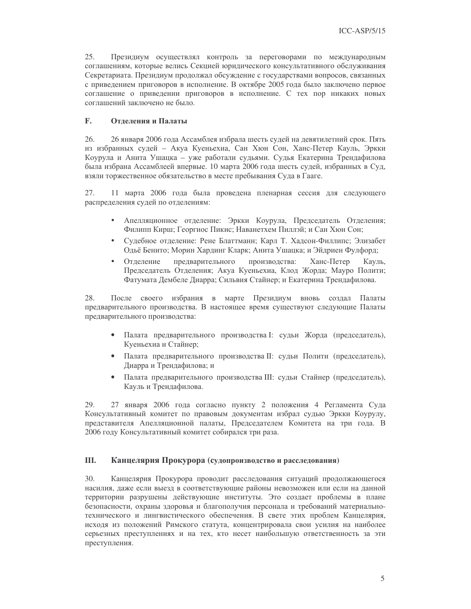$25.$ Президиум осуществлял контроль за переговорами по международным соглашениям, которые велись Секцией юридического консультативного обслуживания Секретариата. Президиум продолжал обсуждение с государствами вопросов, связанных с приведением приговоров в исполнение. В октябре 2005 года было заключено первое соглашение о приведении приговоров в исполнение. С тех пор никаких новых соглашений заключено не было.

#### $\mathbf{F}$ Отлеления и Палаты

26. 26 января 2006 года Ассамблея избрала шесть судей на девятилетний срок. Пять из избранных судей - Акуа Куеньехиа, Сан Хюн Сон, Ханс-Петер Кауль, Эркки Коурула и Анита Ушацка – уже работали судьями. Судья Екатерина Трендафилова была избрана Ассамблеей впервые. 10 марта 2006 года шесть судей, избранных в Суд, взяли торжественное обязательство в месте пребывания Суда в Гааге.

27. 11 марта 2006 года была проведена пленарная сессия для следующего распределения судей по отделениям:

- Апелляционное отделение: Эркки Коурула, Председатель Отделения; Филипп Кирш; Георгиос Пикис; Наванетхем Пиллэй; и Сан Хюн Сон;
- Судебное отделение: Рене Блаттманн; Карл Т. Хадсон-Филлипс; Элизабет  $\bullet$ Одьё Бенито; Морин Хардинг Кларк; Анита Ушацка; и Эйдриен Фулфорд;
- $\bullet$ Отделение предварительного производства: Ханс-Петер Кауль, Председатель Отделения; Акуа Куеньехиа, Клод Жорда; Мауро Полити; Фатумата Дембеле Диарра; Сильвия Стайнер; и Екатерина Трендафилова.

28. После своего избрания в марте Президиум вновь создал Палаты предварительного производства. В настоящее время существуют следующие Палаты предварительного производства:

- Палата предварительного производства I: судьи Жорда (председатель), Куеньехиа и Стайнер;
- Палата предварительного производства II: судьи Полити (председатель), Лиарра и Трендафилова: и
- Палата предварительного производства III: судьи Стайнер (председатель), Кауль и Трендафилова.

27 января 2006 года согласно пункту 2 положения 4 Регламента Суда 29. Консультативный комитет по правовым документам избрал судью Эркки Коурулу, представителя Апелляционной палаты, Председателем Комитета на три года. В 2006 году Консультативный комитет собирался три раза.

#### Ш. Канцелярия Прокурора (судопроизводство и расследования)

30. Канцелярия Прокурора проводит расследования ситуаций продолжающегося насилия, даже если выезд в соответствующие районы невозможен или если на данной территории разрушены действующие институты. Это создает проблемы в плане безопасности, охраны здоровья и благополучия персонала и требований материальнотехнического и лингвистического обеспечения. В свете этих проблем Канцелярия, исходя из положений Римского статута, концентрировала свои усилия на наиболее серьезных преступлениях и на тех, кто несет наибольшую ответственность за эти преступления.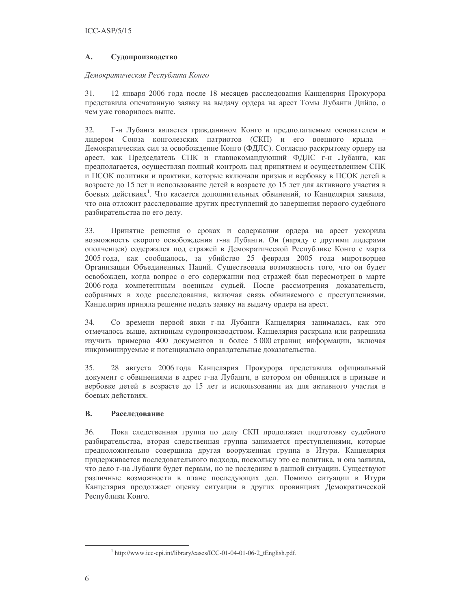#### $\mathbf{A}$ . Судопроизводство

### Демократическая Республика Конго

12 января 2006 года после 18 месяцев расследования Канцелярия Прокурора 31. представила опечатанную заявку на выдачу ордера на арест Томы Лубанги Дийло, о чем уже говорилось выше.

32. Г-н Лубанга является гражданином Конго и предполагаемым основателем и лидером Союза конголезских патриотов (СКП) и его военного крыла -Демократических сил за освобождение Конго (ФДЛС). Согласно раскрытому ордеру на арест, как Председатель СПК и главнокомандующий ФДЛС г-н Лубанга, как предполагается, осуществлял полный контроль над принятием и осуществлением СПК и ПСОК политики и практики, которые включали призыв и вербовку в ПСОК детей в возрасте до 15 лет и использование детей в возрасте до 15 лет для активного участия в боевых действиях<sup>1</sup>. Что касается дополнительных обвинений, то Канцелярия заявила, что она отложит расследование других преступлений до завершения первого судебного разбирательства по его делу.

Принятие решения о сроках и содержании ордера на арест ускорила 33. возможность скорого освобождения г-на Лубанги. Он (наряду с другими лидерами ополченцев) содержался под стражей в Демократической Республике Конго с марта 2005 года, как сообщалось, за убийство 25 февраля 2005 года миротворцев Организации Объединенных Наций. Существовала возможность того, что он будет освобожден, когда вопрос о его содержании под стражей был пересмотрен в марте 2006 года компетентным военным судьей. После рассмотрения доказательств, собранных в ходе расследования, включая связь обвиняемого с преступлениями, Канцелярия приняла решение подать заявку на выдачу ордера на арест.

Со времени первой явки г-на Лубанги Канцелярия занималась, как это 34. отмечалось выше, активным судопроизводством. Канцелярия раскрыла или разрешила изучить примерно 400 документов и более 5000 страниц информации, включая инкриминируемые и потенциально оправдательные доказательства.

35. 28 августа 2006 года Канцелярия Прокурора представила официальный документ с обвинениями в адрес г-на Лубанги, в котором он обвинялся в призыве и вербовке детей в возрасте до 15 лет и использовании их для активного участия в боевых лействиях.

#### **B.** Расследование

36. Пока следственная группа по делу СКП продолжает подготовку судебного разбирательства, вторая следственная группа занимается преступлениями, которые предположительно совершила другая вооруженная группа в Итури. Канцелярия придерживается последовательного подхода, поскольку это ее политика, и она заявила, что дело г-на Лубанги будет первым, но не последним в данной ситуации. Существуют различные возможности в плане последующих дел. Помимо ситуации в Итури Канцелярия продолжает оценку ситуации в других провинциях Демократической Республики Конго.

<sup>&</sup>lt;sup>1</sup> http://www.icc-cpi.int/library/cases/ICC-01-04-01-06-2\_tEnglish.pdf.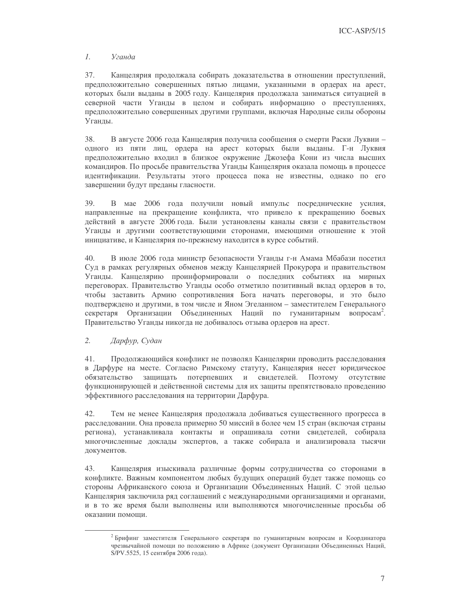#### $\mathcal{I}$ . Уганда

37. Канцелярия продолжала собирать доказательства в отношении преступлений, предположительно совершенных пятью лицами, указанными в ордерах на арест, которых были выданы в 2005 году. Канцелярия продолжала заниматься ситуацией в северной части Уганды в целом и собирать информацию о преступлениях, предположительно совершенных другими группами, включая Народные силы обороны Уганды.

38. В августе 2006 года Канцелярия получила сообщения о смерти Раски Луквии одного из пяти лиц, ордера на арест которых были выданы. Г-н Луквия предположительно входил в близкое окружение Джозефа Кони из числа высших командиров. По просьбе правительства Уганды Канцелярия оказала помощь в процессе идентификации. Результаты этого процесса пока не известны, однако по его завершении будут преданы гласности.

39. В мае 2006 года получили новый импульс посреднические усилия, направленные на прекращение конфликта, что привело к прекращению боевых действий в августе 2006 года. Были установлены каналы связи с правительством Уганды и другими соответствующими сторонами, имеющими отношение к этой инициативе, и Канцелярия по-прежнему находится в курсе событий.

В июле 2006 года министр безопасности Уганды г-н Амама Мбабази посетил 40. Суд в рамках регулярных обменов между Канцелярией Прокурора и правительством Уганды. Канцелярию проинформировали о последних событиях на мирных переговорах. Правительство Уганды особо отметило позитивный вклад ордеров в то, чтобы заставить Армию сопротивления Бога начать переговоры, и это было подтверждено и другими, в том числе и Яном Эгеланном - заместителем Генерального секретаря Организации Объединенных Наций по гуманитарным вопросам<sup>2</sup>. Правительство Уганды никогда не добивалось отзыва ордеров на арест.

#### $2.$ Дарфур, Судан

41. Продолжающийся конфликт не позволял Канцелярии проводить расследования в Дарфуре на месте. Согласно Римскому статуту, Канцелярия несет юридическое защищать потерпевших и свидетелей. Поэтому отсутствие обязательство функционирующей и действенной системы для их защиты препятствовало проведению эффективного расследования на территории Дарфура.

42. Тем не менее Канцелярия продолжала добиваться существенного прогресса в расследовании. Она провела примерно 50 миссий в более чем 15 стран (включая страны региона), устанавливала контакты и опрашивала сотни свидетелей, собирала многочисленные доклады экспертов, а также собирала и анализировала тысячи документов.

Канцелярия изыскивала различные формы сотрудничества со сторонами в 43. конфликте. Важным компонентом любых будущих операций будет также помощь со стороны Африканского союза и Организации Объединенных Наций. С этой целью Канцелярия заключила ряд соглашений с международными организациями и органами, и в то же время были выполнены или выполняются многочисленные просьбы об оказании помоши

<sup>2</sup> Брифинг заместителя Генерального секретаря по гуманитарным вопросам и Координатора чрезвычайной помощи по положению в Африке (документ Организации Объединенных Наций, S/PV.5525, 15 сентября 2006 года).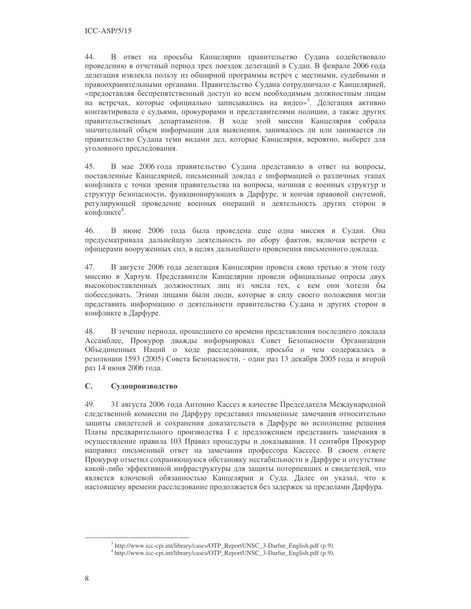44. В ответ на просьбы Канцелярии правительство Судана содействовало проведению в отчетный период трех поездок делегаций в Судан. В феврале 2006 года делегация извлекла пользу из обширной программы встреч с местными, судебными и правоохранительными органами. Правительство Судана сотрудничало с Канцелярией, «предоставляя беспрепятственный доступ ко всем необходимым должностным лицам на встречах, которые официально записывались на видео»<sup>3</sup>. Делегация активно контактировала с судьями, прокурорами и представителями полиции, а также других правительственных департаментов. В ходе этой миссии Канцелярия собрала значительный объем информации для выяснения, занималось ли или занимается ли правительство Судана теми видами дел, которые Канцелярия, вероятно, выберет для уголовного преследования.

45. В мае 2006 года правительство Судана представило в ответ на вопросы, поставленные Канцелярией, письменный доклад с информацией о различных этапах конфликта с точки зрения правительства на вопросы, начиная с военных структур и структур безопасности, функционирующих в Дарфуре, и кончая правовой системой, регулирующей проведение военных операций и деятельность других сторон в конфликте<sup>4</sup>.

В июне 2006 года была проведена еще одна миссия в Судан. Она 46. предусматривала дальнейшую деятельность по сбору фактов, включая встречи с офицерами вооруженных сил, в целях дальнейшего прояснения письменного доклада.

47. В августе 2006 года делегация Канцелярии провела свою третью в этом году миссию в Хартум. Представители Канцелярии провели официальные опросы двух высокопоставленных должностных лиц из числа тех, с кем они хотели бы побеседовать. Этими лицами были люди, которые в силу своего положения могли представить информацию о деятельности правительства Судана и других сторон в конфликте в Дарфуре.

48. В течение периода, прошедшего со времени представления последнего доклада Ассамблее, Прокурор дважды информировал Совет Безопасности Организации Объединенных Наций о ходе расследования, просьба о чем содержалась в резолюции 1593 (2005) Совета Безопасности, - один раз 13 декабря 2005 года и второй раз 14 июня 2006 года.

#### $\overline{C}$ . Судопроизводство

49. 31 августа 2006 года Антонио Кассез в качестве Председателя Международной следственной комиссии по Дарфуру представил письменные замечания относительно защиты свидетелей и сохранения доказательств в Дарфуре во исполнение решения Платы предварительного производства I с предложением представить замечания в осуществление правила 103 Правил процедуры и доказывания. 11 сентября Прокурор направил письменный ответ на замечания профессора Кассесе. В своем ответе Прокурор отметил сохраняющуюся обстановку нестабильности в Дарфуре и отсутствие какой-либо эффективной инфраструктуры для защиты потерпевших и свидетелей, что является ключевой обязанностью Канцелярии и Суда. Далее он указал, что к настоящему времени расследование продолжается без задержек за пределами Дарфура.

<sup>&</sup>lt;sup>3</sup> http://www.icc-cpi.int/library/cases/OTP\_ReportUNSC\_3-Darfur\_English.pdf (p.9).

<sup>&</sup>lt;sup>4</sup> http://www.icc-cpi.int/library/cases/OTP\_ReportUNSC\_3-Darfur\_English.pdf (p.9).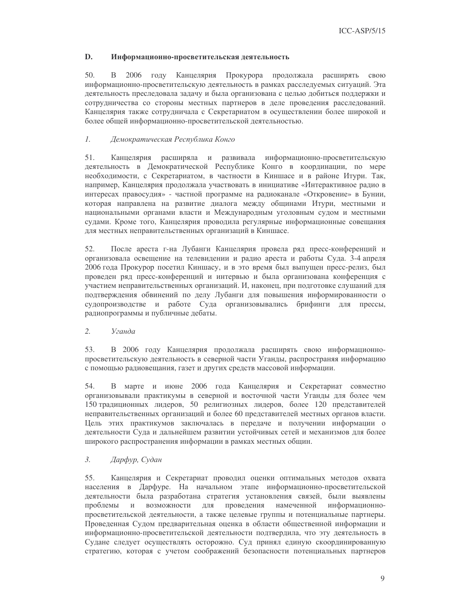#### D. Информационно-просветительская деятельность

 $50<sub>1</sub>$ В 2006 году Канцелярия Прокурора продолжала расширять свою информационно-просветительскую деятельность в рамках расследуемых ситуаций. Эта деятельность преследовала задачу и была организована с целью добиться поддержки и сотрудничества со стороны местных партнеров в деле проведения расследований. Канцелярия также сотрудничала с Секретариатом в осуществлении более широкой и более общей информационно-просветительской деятельностью.

#### $1.$ Демократическая Республика Конго

51. Канцелярия расширяла и развивала информационно-просветительскую деятельность в Демократической Республике Конго в координации, по мере необходимости, с Секретариатом, в частности в Киншасе и в районе Итури. Так, например, Канцелярия продолжала участвовать в инициативе «Интерактивное радио в интересах правосудия» - частной программе на радиоканале «Откровение» в Бунии, которая направлена на развитие диалога между общинами Итури, местными и национальными органами власти и Международным уголовным судом и местными судами. Кроме того, Канцелярия проводила регулярные информационные совещания для местных неправительственных организаций в Киншасе.

52. После ареста г-на Лубанги Канцелярия провела ряд пресс-конференций и организовала освещение на телевидении и радио ареста и работы Суда. 3-4 апреля 2006 года Прокурор посетил Киншасу, и в это время был выпущен пресс-релиз, был проведен ряд пресс-конференций и интервью и была организована конференция с участием неправительственных организаций. И, наконец, при подготовке слушаний для подтверждения обвинений по делу Лубанги для повышения информированности о судопроизводстве и работе Суда организовывались брифинги для прессы, радиопрограммы и публичные дебаты.

#### $2.$ Уганда

53. В 2006 году Канцелярия продолжала расширять свою информационнопросветительскую деятельность в северной части Уганды, распространяя информацию с помощью радиовещания, газет и других средств массовой информации.

54. В марте и июне 2006 года Канцелярия и Секретариат совместно организовывали практикумы в северной и восточной части Уганды для более чем 150 традиционных лидеров, 50 религиозных лидеров, более 120 представителей неправительственных организаций и более 60 представителей местных органов власти. Цель этих практикумов заключалась в передаче и получении информации о деятельности Суда и дальнейшем развитии устойчивых сетей и механизмов для более широкого распространения информации в рамках местных общин.

#### $\mathfrak{Z}$ . Дарфур, Судан

55. Канцелярия и Секретариат проводил оценки оптимальных методов охвата населения в Дарфуре. На начальном этапе информационно-просветительской деятельности была разработана стратегия установления связей, были выявлены проблемы возможности для проведения намеченной информационно- $\,$  M просветительской деятельности, а также целевые группы и потенциальные партнеры. Проведенная Судом предварительная оценка в области общественной информации и информационно-просветительской деятельности подтвердила, что эту деятельность в Судане следует осуществлять осторожно. Суд принял единую скоординированную стратегию, которая с учетом соображений безопасности потенциальных партнеров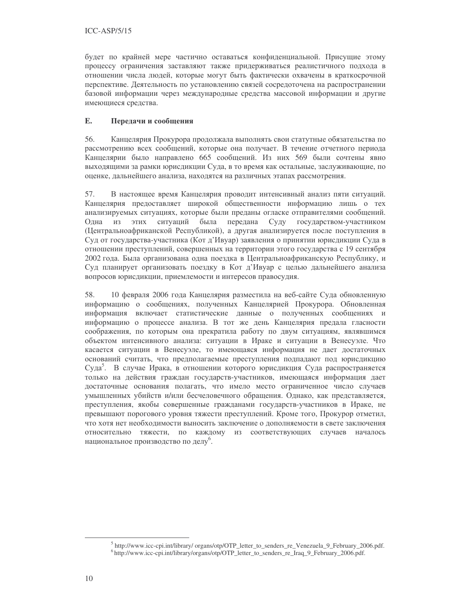будет по крайней мере частично оставаться конфиденциальной. Присущие этому процессу ограничения заставляют также придерживаться реалистичного подхода в отношении числа людей, которые могут быть фактически охвачены в краткосрочной перспективе. Деятельность по установлению связей сосредоточена на распространении базовой информации через международные средства массовой информации и другие имеющиеся средства.

#### E. Передачи и сообщения

56. Канцелярия Прокурора продолжала выполнять свои статутные обязательства по рассмотрению всех сообщений, которые она получает. В течение отчетного периода Канцелярии было направлено 665 сообщений. Из них 569 были сочтены явно выходящими за рамки юрисдикции Суда, в то время как остальные, заслуживающие, по оценке, дальнейшего анализа, находятся на различных этапах рассмотрения.

57. В настоящее время Канцелярия проводит интенсивный анализ пяти ситуаций. Канцелярия предоставляет широкой общественности информацию лишь о тех анализируемых ситуациях, которые были преданы огласке отправителями сообщений. Одна из этих ситуаций была передана Суду государством-участником (Центральноафриканской Республикой), а другая анализируется после поступления в Суд от государства-участника (Кот д'Ивуар) заявления о принятии юрисдикции Суда в отношении преступлений, совершенных на территории этого государства с 19 сентября 2002 года. Была организована одна поездка в Центральноафриканскую Республику, и Суд планирует организовать поездку в Кот д'Ивуар с целью дальнейшего анализа вопросов юрисдикции, приемлемости и интересов правосудия.

10 февраля 2006 года Канцелярия разместила на веб-сайте Суда обновленную 58. информацию о сообщениях, полученных Канцелярией Прокурора. Обновленная информация включает статистические данные о полученных сообщениях и информацию о процессе анализа. В тот же день Канцелярия предала гласности соображения, по которым она прекратила работу по двум ситуациям, являвшимся объектом интенсивного анализа: ситуации в Ираке и ситуации в Венесуэле. Что касается ситуации в Венесуэле, то имеющаяся информация не дает достаточных оснований считать, что предполагаемые преступления подпадают под юрисдикцию Суда<sup>5</sup>. В случае Ирака, в отношении которого юрисдикция Суда распространяется только на действия граждан государств-участников, имеющаяся информация дает достаточные основания полагать, что имело место ограниченное число случаев умышленных убийств и/или бесчеловечного обращения. Однако, как представляется, преступления, якобы совершенные гражданами государств-участников в Ираке, не превышают порогового уровня тяжести преступлений. Кроме того, Прокурор отметил, что хотя нет необходимости выносить заключение о дополняемости в свете заключения относительно тяжести, по каждому из соответствующих случаев началось национальное производство по делу<sup>6</sup>.

<sup>&</sup>lt;sup>5</sup> http://www.icc-cpi.int/library/ organs/otp/OTP\_letter\_to\_senders\_re\_Venezuela\_9\_February\_2006.pdf.

<sup>&</sup>lt;sup>6</sup> http://www.icc-cpi.int/library/organs/otp/OTP\_letter\_to\_senders\_re\_Iraq\_9\_February\_2006.pdf.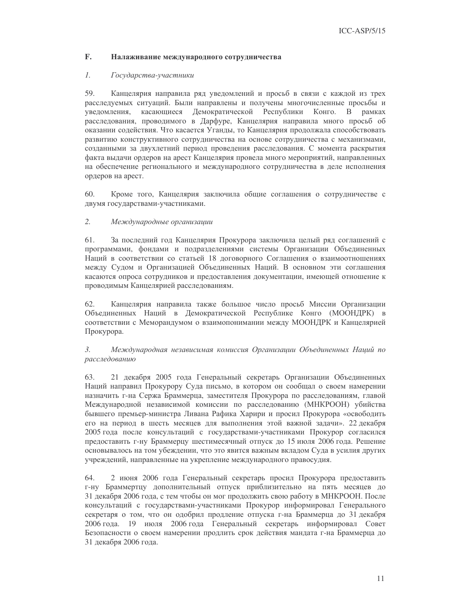#### $\mathbf{F}$ . Налаживание международного сотрудничества

#### $\mathcal{I}$ . Государства-участники

59. Канцелярия направила ряд уведомлений и просьб в связи с каждой из трех расследуемых ситуаций. Были направлены и получены многочисленные просьбы и увеломления. касающиеся Демократической Республики Конго. В рамках расследования, проводимого в Дарфуре, Канцелярия направила много просьб об оказании содействия. Что касается Уганды, то Канцелярия продолжала способствовать развитию конструктивного сотрудничества на основе сотрудничества с механизмами, созданными за двухлетний период проведения расследования. С момента раскрытия факта выдачи ордеров на арест Канцелярия провела много мероприятий, направленных на обеспечение регионального и международного сотрудничества в деле исполнения ордеров на арест.

Кроме того, Канцелярия заключила общие соглашения о сотрудничестве с 60. двумя государствами-участниками.

#### 2. Международные организации

61. За последний год Канцелярия Прокурора заключила целый ряд соглашений с программами, фондами и подразделениями системы Организации Объединенных Наций в соответствии со статьей 18 договорного Соглашения о взаимоотношениях между Судом и Организацией Объединенных Наций. В основном эти соглашения касаются опроса сотрудников и предоставления документации, имеющей отношение к проводимым Канцелярией расследованиям.

62. Канцелярия направила также большое число просьб Миссии Организации Объединенных Наций в Демократической Республике Конго (МООНДРК) в соответствии с Меморандумом о взаимопонимании между МООНДРК и Канцелярией Прокурора.

### $\mathfrak{Z}$ . Международная независимая комиссия Организации Объединенных Наций по расследованию

63. 21 декабря 2005 года Генеральный секретарь Организации Объединенных Наций направил Прокурору Суда письмо, в котором он сообщал о своем намерении назначить г-на Сержа Браммерца, заместителя Прокурора по расследованиям, главой Международной независимой комиссии по расследованию (МНКРООН) убийства бывшего премьер-министра Ливана Рафика Харири и просил Прокурора «освободить его на период в шесть месяцев для выполнения этой важной задачи». 22 декабря 2005 года после консультаций с государствами-участниками Прокурор согласился предоставить г-ну Браммерцу шестимесячный отпуск до 15 июля 2006 года. Решение основывалось на том убеждении, что это явится важным вкладом Суда в усилия других учреждений, направленные на укрепление международного правосудия.

64. 2 июня 2006 года Генеральный секретарь просил Прокурора предоставить г-ну Браммертцу дополнительный отпуск приблизительно на пять месяцев до 31 декабря 2006 года, с тем чтобы он мог продолжить свою работу в МНКРООН. После консультаций с государствами-участниками Прокурор информировал Генерального секретаря о том, что он одобрил продление отпуска г-на Браммерца до 31 декабря 2006 года. 19 июля 2006 года Генеральный секретарь информировал Совет Безопасности о своем намерении продлить срок действия мандата г-на Браммерца до 31 декабря 2006 года.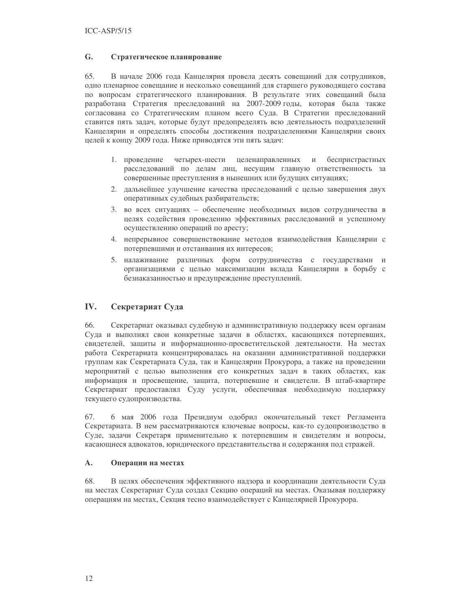#### G. Стратегическое планирование

65. В начале 2006 года Канцелярия провела десять совещаний для сотрудников, одно пленарное совещание и несколько совещаний для старшего руководящего состава по вопросам стратегического планирования. В результате этих совещаний была разработана Стратегия преследований на 2007-2009 годы, которая была также согласована со Стратегическим планом всего Суда. В Стратегии преследований ставится пять задач, которые будут предопределять всю деятельность подразделений Канцелярии и определять способы достижения подразделениями Канцелярии своих целей к концу 2009 года. Ниже приводятся эти пять задач:

- 1. проведение четырех-шести целенаправленных и беспристрастных расследований по делам лиц, несущим главную ответственность за совершенные преступления в нынешних или будущих ситуациях;
- 2. дальнейшее улучшение качества преследований с целью завершения двух оперативных судебных разбирательств;
- 3. во всех ситуациях обеспечение необходимых видов сотрудничества в целях содействия проведению эффективных расследований и успешному осуществлению операций по аресту;
- 4. непрерывное совершенствование методов взаимодействия Канцелярии с потерпевшими и отстаивания их интересов;
- 5. налаживание различных форм сотрудничества с государствами и организациями с целью максимизации вклада Канцелярии в борьбу с безнаказанностью и предупреждение преступлений.

#### IV. Секретариат Суда

66. Секретариат оказывал судебную и административную поддержку всем органам Суда и выполнял свои конкретные задачи в областях, касающихся потерпевших, свидетелей, защиты и информационно-просветительской деятельности. На местах работа Секретариата концентрировалась на оказании административной поддержки группам как Секретариата Суда, так и Канцелярии Прокурора, а также на проведении мероприятий с целью выполнения его конкретных задач в таких областях, как информация и просвещение, защита, потерпевшие и свидетели. В штаб-квартире Секретариат предоставлял Суду услуги, обеспечивая необходимую поддержку текущего судопроизводства.

67. 6 мая 2006 года Президиум одобрил окончательный текст Регламента Секретариата. В нем рассматриваются ключевые вопросы, как-то судопроизводство в Суде, задачи Секретаря применительно к потерпевшим и свидетелям и вопросы, касающиеся адвокатов, юридического представительства и содержания под стражей.

#### $\mathbf{A}$ . Операции на местах

68. В целях обеспечения эффективного надзора и координации деятельности Суда на местах Секретариат Суда создал Секцию операций на местах. Оказывая поддержку операциям на местах, Секция тесно взаимодействует с Канцелярией Прокурора.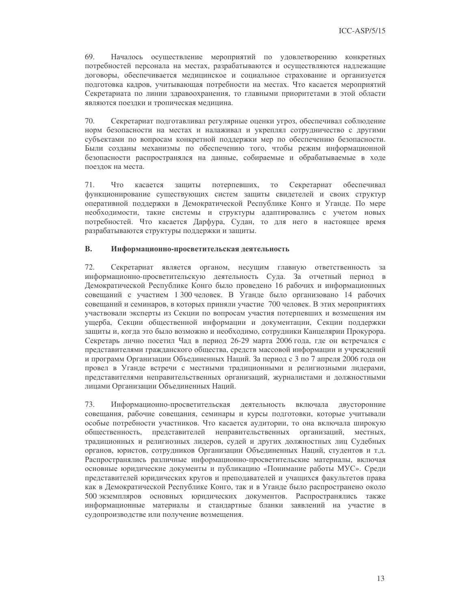69. Началось осуществление мероприятий по удовлетворению конкретных потребностей персонала на местах, разрабатываются и осуществляются надлежащие договоры, обеспечивается медицинское и социальное страхование и организуется подготовка кадров, учитывающая потребности на местах. Что касается мероприятий Секретариата по линии здравоохранения, то главными приоритетами в этой области являются поездки и тропическая медицина.

 $70.$ Секретариат подготавливал регулярные оценки угроз, обеспечивал соблюдение норм безопасности на местах и налаживал и укреплял сотрудничество с другими субъектами по вопросам конкретной поддержки мер по обеспечению безопасности. Были созданы механизмы по обеспечению того, чтобы режим информационной безопасности распространялся на данные, собираемые и обрабатываемые в ходе поездок на места.

 $71.$  $T_{\text{TO}}$ касается зашиты потерпевших, T<sub>O</sub> Секретариат обеспечивал функционирование существующих систем защиты свидетелей и своих структур оперативной поддержки в Демократической Республике Конго и Уганде. По мере необходимости, такие системы и структуры адаптировались с учетом новых потребностей. Что касается Дарфура, Судан, то для него в настоящее время разрабатываются структуры поддержки и защиты.

#### **B.** Информационно-просветительская деятельность

 $72.$ Секретариат является органом, несущим главную ответственность за информационно-просветительскую деятельность Суда. За отчетный период в Демократической Республике Конго было проведено 16 рабочих и информационных совещаний с участием 1 300 человек. В Уганде было организовано 14 рабочих совещаний и семинаров, в которых приняли участие 700 человек. В этих мероприятиях участвовали эксперты из Секции по вопросам участия потерпевших и возмещения им ущерба, Секции общественной информации и документации, Секции поддержки защиты и, когда это было возможно и необходимо, сотрудники Канцелярии Прокурора. Секретарь лично посетил Чад в период 26-29 марта 2006 года, где он встречался с представителями гражданского общества, средств массовой информации и учреждений и программ Организации Объединенных Наций. За период с 3 по 7 апреля 2006 года он провел в Уганде встречи с местными традиционными и религиозными лидерами, представителями неправительственных организаций, журналистами и должностными лицами Организации Объединенных Наций.

73. Информационно-просветительская деятельность включала двусторонние совещания, рабочие совещания, семинары и курсы подготовки, которые учитывали особые потребности участников. Что касается аудитории, то она включала широкую общественность, представителей неправительственных организаций, местных, традиционных и религиозных лидеров, судей и других должностных лиц Судебных органов, юристов, сотрудников Организации Объединенных Наций, студентов и т.д. Распространялись различные информационно-просветительские материалы, включая основные юридические документы и публикацию «Понимание работы МУС». Среди представителей юридических кругов и преподавателей и учащихся факультетов права как в Демократической Республике Конго, так и в Уганде было распространено около 500 экземпляров основных юридических документов. Распространялись также информационные материалы и стандартные бланки заявлений на участие в судопроизводстве или получение возмещения.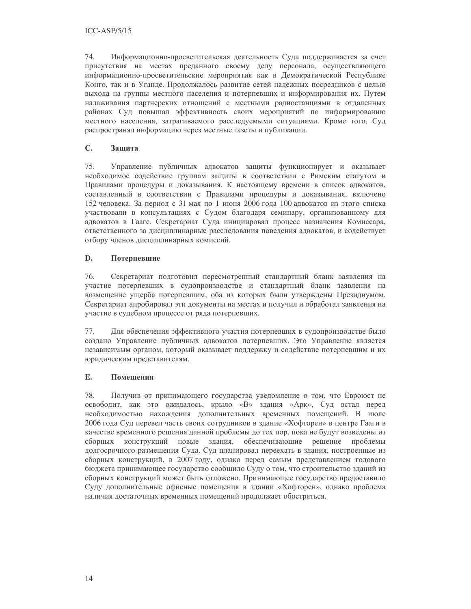74. Информационно-просветительская деятельность Суда поддерживается за счет присутствия на местах преданного своему делу персонала, осуществляющего информационно-просветительские мероприятия как в Демократической Республике Конго, так и в Уганде. Продолжалось развитие сетей надежных посредников с целью выхода на группы местного населения и потерпевших и информирования их. Путем налаживания партнерских отношений с местными радиостанциями в отдаленных районах Суд повышал эффективность своих мероприятий по информированию местного населения, затрагиваемого расследуемыми ситуациями. Кроме того, Суд распространял информацию через местные газеты и публикации.

#### $\mathbf{C}$ . Зашита

75. Управление публичных адвокатов защиты функционирует и оказывает необходимое содействие группам защиты в соответствии с Римским статутом и Правилами процедуры и доказывания. К настоящему времени в список адвокатов, составленный в соответствии с Правилами процедуры и доказывания, включено 152 человека. За период с 31 мая по 1 июня 2006 года 100 адвокатов из этого списка участвовали в консультациях с Судом благодаря семинару, организованному для адвокатов в Гааге. Секретариат Суда инициировал процесс назначения Комиссара, ответственного за дисциплинарные расследования поведения адвокатов, и содействует отбору членов дисциплинарных комиссий.

#### D. Потерпевшие

76. Секретариат подготовил пересмотренный стандартный бланк заявления на участие потерпевших в судопроизводстве и стандартный бланк заявления на возмещение ущерба потерпевшим, оба из которых были утверждены Президиумом. Секретариат апробировал эти документы на местах и получил и обработал заявления на участие в судебном процессе от ряда потерпевших.

77. Для обеспечения эффективного участия потерпевших в судопроизводстве было создано Управление публичных адвокатов потерпевших. Это Управление является независимым органом, который оказывает поддержку и содействие потерпевшим и их юридическим представителям.

#### E. Помещения

78. Получив от принимающего государства уведомление о том, что Евроюст не освободит, как это ожидалось, крыло «В» здания «Арк», Суд встал перед необходимостью нахождения дополнительных временных помещений. В июле 2006 года Суд перевел часть своих сотрудников в здание «Хофторен» в центре Гааги в качестве временного решения данной проблемы до тех пор, пока не будут возведены из конструкций новые здания, обеспечивающие решение проблемы сборных долгосрочного размещения Суда. Суд планировал переехать в здания, построенные из сборных конструкций, в 2007 году, однако перед самым представлением годового бюджета принимающее государство сообщило Суду о том, что строительство зданий из сборных конструкций может быть отложено. Принимающее государство предоставило Суду дополнительные офисные помещения в здании «Хофторен», однако проблема наличия достаточных временных помещений продолжает обостряться.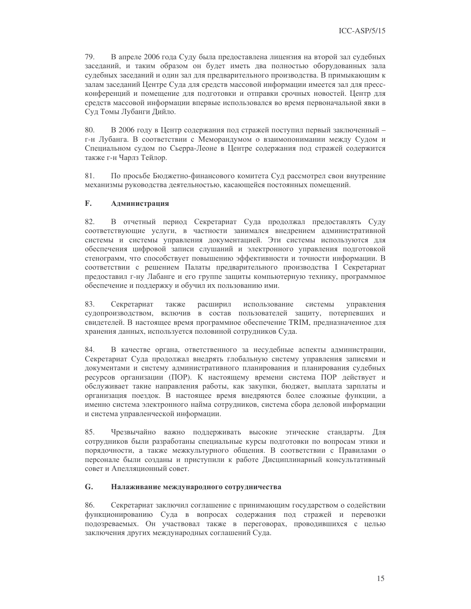79. В апреле 2006 года Суду была предоставлена лицензия на второй зал судебных заседаний, и таким образом он будет иметь два полностью оборудованных зала судебных заседаний и один зал для предварительного производства. В примыкающим к залам заседаний Центре Суда для средств массовой информации имеется зал для прессконференций и помещение для подготовки и отправки срочных новостей. Центр для средств массовой информации впервые использовался во время первоначальной явки в Суд Томы Лубанги Дийло.

80. В 2006 году в Центр содержания под стражей поступил первый заключенный г-н Лубанга. В соответствии с Меморандумом о взаимопонимании между Судом и Специальном судом по Сьерра-Леоне в Центре содержания под стражей содержится также г-н Чарлз Тейлор.

81. По просьбе Бюджетно-финансового комитета Суд рассмотрел свои внутренние механизмы руководства деятельностью, касающейся постоянных помещений.

#### F. Администрация

В отчетный период Секретариат Суда продолжал предоставлять Суду 82. соответствующие услуги, в частности занимался внедрением административной системы и системы управления документацией. Эти системы используются для обеспечения цифровой записи слушаний и электронного управления подготовкой стенограмм, что способствует повышению эффективности и точности информации. В соответствии с решением Палаты предварительного производства I Секретариат предоставил г-ну Лабанге и его группе защиты компьютерную технику, программное обеспечение и поддержку и обучил их пользованию ими.

83. Секретариат также расширил использование системы управления судопроизводством, включив в состав пользователей защиту, потерпевших и свидетелей. В настоящее время программное обеспечение TRIM, предназначенное для хранения данных, используется половиной сотрудников Суда.

84. В качестве органа, ответственного за несудебные аспекты администрации, Секретариат Суда продолжал внедрять глобальную систему управления записями и документами и систему административного планирования и планирования судебных ресурсов организации (ПОР). К настоящему времени система ПОР действует и обслуживает такие направления работы, как закупки, бюджет, выплата зарплаты и организация поездок. В настоящее время внедряются более сложные функции, а именно система электронного найма сотрудников, система сбора деловой информации и система управленческой информации.

85. Чрезвычайно важно поддерживать высокие этические стандарты. Для сотрудников были разработаны специальные курсы подготовки по вопросам этики и порядочности, а также межкультурного общения. В соответствии с Правилами о персонале были созданы и приступили к работе Дисциплинарный консультативный совет и Апелляционный совет.

#### G. Налаживание международного сотрудничества

86. Секретариат заключил соглашение с принимающим государством о содействии функционированию Суда в вопросах содержания под стражей и перевозки подозреваемых. Он участвовал также в переговорах, проводившихся с целью заключения других международных соглашений Суда.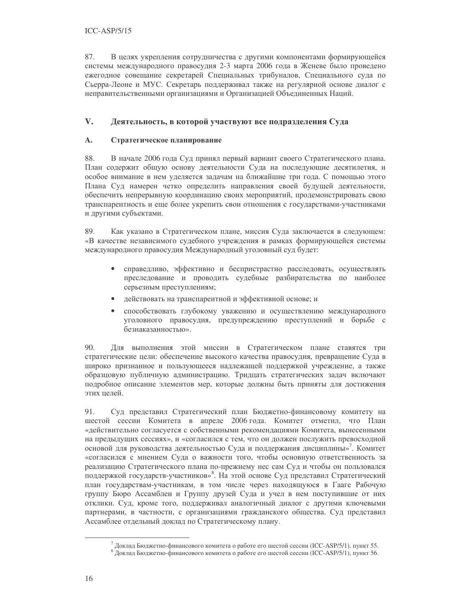87. В целях укрепления сотрудничества с другими компонентами формирующейся системы международного правосудия 2-3 марта 2006 года в Женеве было проведено ежегодное совещание секретарей Специальных трибуналов, Специального суда по Сьерра-Леоне и МУС. Секретарь поддерживал также на регулярной основе диалог с неправительственными организациями и Организацией Объединенных Наций.

#### $V_{\star}$ Деятельность, в которой участвуют все подразделения Суда

#### $\mathbf{A}$ . Стратегическое планирование

88. В начале 2006 года Суд принял первый вариант своего Стратегического плана. План содержит общую основу деятельности Суда на последующие десятилетия, и особое внимание в нем уделяется задачам на ближайшие три года. С помощью этого Плана Суд намерен четко определить направления своей будущей деятельности, обеспечить непрерывную координацию своих мероприятий, продемонстрировать свою транспарентность и еще более укрепить свои отношения с государствами-участниками и другими субъектами.

89. Как указано в Стратегическом плане, миссия Суда заключается в следующем: «В качестве независимого судебного учреждения в рамках формирующейся системы международного правосудия Международный уголовный суд будет:

- справедливо, эффективно и беспристрастно расследовать, осуществлять преследование и проводить судебные разбирательства по наиболее серьезным преступлениям;
- $\bullet$ действовать на транспарентной и эффективной основе; и
- способствовать глубокому уважению и осуществлению международного  $\bullet$ уголовного правосудия, предупреждению преступлений и борьбе с безнаказанностью».

90. Для выполнения этой миссии в Стратегическом плане ставятся три стратегические цели: обеспечение высокого качества правосудия, превращение Суда в широко признанное и пользующееся надлежащей поддержкой учреждение, а также образцовую публичную администрацию. Тридцать стратегических задач включают подробное описание элементов мер, которые должны быть приняты для достижения этих целей.

91. Суд представил Стратегический план Бюджетно-финансовому комитету на шестой сессии Комитета в апреле 2006 года. Комитет отметил, что План «действительно согласуется с собственными рекомендациями Комитета, вынесенными на предыдущих сессиях», и «согласился с тем, что он должен послужить превосходной основой для руководства деятельностью Суда и поддержания дисциплины»<sup>7</sup>. Комитет «согласился с мнением Суда о важности того, чтобы основную ответственность за реализацию Стратегического плана по-прежнему нес сам Суд и чтобы он пользовался поддержкой государств-участников»<sup>8</sup>. На этой основе Суд представил Стратегический план государствам-участникам, в том числе через находящуюся в Гааге Рабочую группу Бюро Ассамблеи и Группу друзей Суда и учел в нем поступившие от них отклики. Суд, кроме того, поддерживал аналогичный диалог с другими ключевыми партнерами, в частности, с организациями гражданского общества. Суд представил Ассамблее отдельный доклад по Стратегическому плану.

 $^7$  Доклад Бюджетно-финансового комитета о работе его шестой сессии (ICC-ASP/5/1), пункт 55.

<sup>&</sup>lt;sup>8</sup> Доклад Бюджетно-финансового комитета о работе его шестой сессии (ICC-ASP/5/1), пункт 56.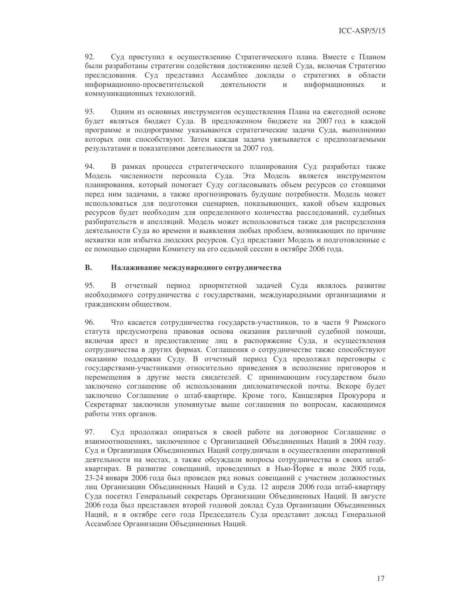92. Суд приступил к осуществлению Стратегического плана. Вместе с Планом были разработаны стратегии содействия достижению целей Суда, включая Стратегию преследования. Суд представил Ассамблее доклады о стратегиях в области информационно-просветительской информационных деятельности  $\,$   $\,$   $\,$  $\overline{M}$ коммуникационных технологий.

93. Одним из основных инструментов осуществления Плана на ежегодной основе будет являться бюджет Суда. В предложенном бюджете на 2007 год в каждой программе и подпрограмме указываются стратегические задачи Суда, выполнению которых они способствуют. Затем каждая задача увязывается с предполагаемыми результатами и показателями деятельности за 2007 год.

94. В рамках процесса стратегического планирования Суд разработал также Модель численности персонала Суда. Эта Модель является инструментом планирования, который помогает Суду согласовывать объем ресурсов со стоящими перед ним задачами, а также прогнозировать будущие потребности. Модель может использоваться для подготовки сценариев, показывающих, какой объем кадровых ресурсов будет необходим для определенного количества расследований, судебных разбирательств и апелляций. Модель может использоваться также для распределения деятельности Суда во времени и выявления любых проблем, возникающих по причине нехватки или избытка людских ресурсов. Суд представит Модель и подготовленные с ее помощью сценарии Комитету на его седьмой сессии в октябре 2006 года.

#### **B.** Налаживание международного сотрудничества

95. В отчетный период приоритетной задачей Суда являлось развитие необходимого сотрудничества с государствами, международными организациями и гражданским обществом.

96. Что касается сотрудничества государств-участников, то в части 9 Римского статута предусмотрена правовая основа оказания различной судебной помощи, включая арест и предоставление лиц в распоряжение Суда, и осуществления сотрудничества в других формах. Соглашения о сотрудничестве также способствуют оказанию поддержки Суду. В отчетный период Суд продолжал переговоры с государствами-участниками относительно приведения в исполнение приговоров и перемещения в другие места свидетелей. С принимающим государством было заключено соглашение об использовании дипломатической почты. Вскоре будет заключено Соглашение о штаб-квартире. Кроме того, Канцелярия Прокурора и Секретариат заключили упомянутые выше соглашения по вопросам, касающимся работы этих органов.

97. Суд продолжал опираться в своей работе на договорное Соглашение о взаимоотношениях, заключенное с Организацией Объединенных Наций в 2004 году. Суд и Организация Объединенных Наций сотрудничали в осуществлении оперативной деятельности на местах, а также обсуждали вопросы сотрудничества в своих штабквартирах. В развитие совещаний, проведенных в Нью-Йорке в июле 2005 года, 23-24 января 2006 года был проведен ряд новых совещаний с участием должностных лиц Организации Объединенных Наций и Суда. 12 апреля 2006 года штаб-квартиру Суда посетил Генеральный секретарь Организации Объединенных Наций. В августе 2006 года был представлен второй годовой доклад Суда Организации Объединенных Наций, и в октябре сего года Председатель Суда представит доклад Генеральной Ассамблее Организации Объединенных Наций.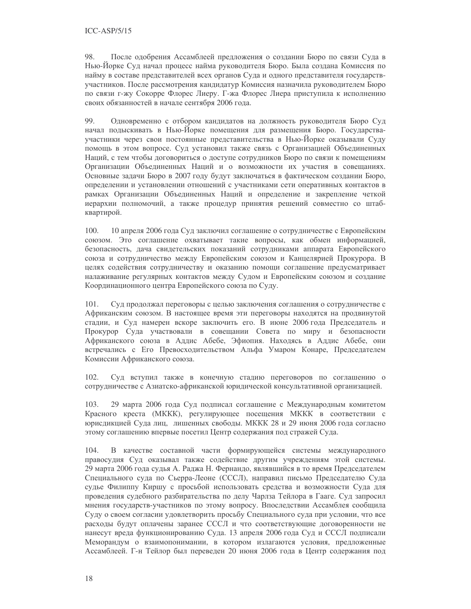98. После одобрения Ассамблеей предложения о создании Бюро по связи Суда в Нью-Йорке Суд начал процесс найма руководителя Бюро. Была создана Комиссия по найму в составе представителей всех органов Суда и одного представителя государствучастников. После рассмотрения кандидатур Комиссия назначила руководителем Бюро по связи г-жу Сокорре Флорес Лиеру. Г-жа Флорес Лиера приступила к исполнению своих обязанностей в начале сентября 2006 года.

99. Одновременно с отбором кандидатов на должность руководителя Бюро Суд начал подыскивать в Нью-Йорке помещения для размещения Бюро. Государстваучастники через свои постоянные представительства в Нью-Йорке оказывали Суду помощь в этом вопросе. Суд установил также связь с Организацией Объединенных Наций, с тем чтобы договориться о доступе сотрудников Бюро по связи к помещениям Организации Объединенных Наций и о возможности их участия в совещаниях. Основные задачи Бюро в 2007 году будут заключаться в фактическом создании Бюро, определении и установлении отношений с участниками сети оперативных контактов в рамках Организации Объединенных Наций и определение и закрепление четкой иерархии полномочий, а также процедур принятия решений совместно со штабквартирой.

100. 10 апреля 2006 года Суд заключил соглашение о сотрудничестве с Европейским союзом. Это соглашение охватывает такие вопросы, как обмен информацией, безопасность, дача свидетельских показаний сотрудниками аппарата Европейского союза и сотрудничество между Европейским союзом и Канцелярией Прокурора. В целях содействия сотрудничеству и оказанию помощи соглашение предусматривает налаживание регулярных контактов между Судом и Европейским союзом и создание Координационного центра Европейского союза по Суду.

Суд продолжал переговоры с целью заключения соглашения о сотрудничестве с 101. Африканским союзом. В настоящее время эти переговоры находятся на продвинутой стадии, и Суд намерен вскоре заключить его. В июне 2006 года Председатель и Прокурор Суда участвовали в совещании Совета по миру и безопасности Африканского союза в Аддис Абебе, Эфиопия. Находясь в Аддис Абебе, они встречались с Его Превосходительством Альфа Умаром Конаре, Председателем Комиссии Африканского союза.

 $102.$ Суд вступил также в конечную стадию переговоров по соглашению о сотрудничестве с Азиатско-африканской юридической консультативной организацией.

103. 29 марта 2006 года Суд подписал соглашение с Международным комитетом Красного креста (МККК), регулирующее посещения МККК в соответствии с юрисдикцией Суда лиц, лишенных свободы. МККК 28 и 29 июня 2006 года согласно этому соглашению впервые посетил Центр содержания под стражей Суда.

В качестве составной части формирующейся системы международного 104. правосудия Суд оказывал также содействие другим учреждениям этой системы. 29 марта 2006 года судья А. Раджа Н. Фернандо, являвшийся в то время Председателем Специального суда по Сьерра-Леоне (СССЛ), направил письмо Председателю Суда судье Филиппу Киршу с просьбой использовать средства и возможности Суда для проведения судебного разбирательства по делу Чарлза Тейлора в Гааге. Суд запросил мнения государств-участников по этому вопросу. Впоследствии Ассамблея сообщила Суду о своем согласии удовлетворить просьбу Специального суда при условии, что все расходы будут оплачены заранее СССЛ и что соответствующие договоренности не нанесут вреда функционированию Суда. 13 апреля 2006 года Суд и СССЛ подписали Меморандум о взаимопонимании, в котором излагаются условия, предложенные Ассамблеей. Г-н Тейлор был переведен 20 июня 2006 года в Центр содержания под